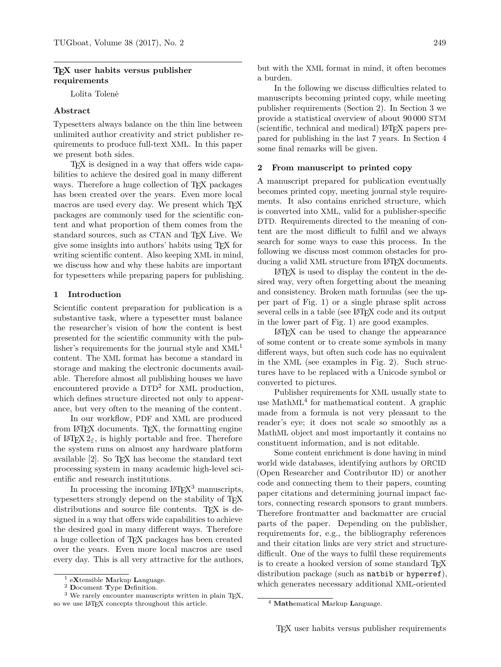# **TEX user habits versus publisher requirements**

Lolita Tolenė

## **Abstract**

Typesetters always balance on the thin line between unlimited author creativity and strict publisher requirements to produce full-text XML. In this paper we present both sides.

TEX is designed in a way that offers wide capabilities to achieve the desired goal in many different ways. Therefore a huge collection of T<sub>EX</sub> packages has been created over the years. Even more local macros are used every day. We present which TFX packages are commonly used for the scientific content and what proportion of them comes from the standard sources, such as CTAN and T<sub>EX</sub> Live. We give some insights into authors' habits using TEX for writing scientific content. Also keeping XML in mind, we discuss how and why these habits are important for typesetters while preparing papers for publishing.

## **1 Introduction**

Scientific content preparation for publication is a substantive task, where a typesetter must balance the researcher's vision of how the content is best presented for the scientific community with the publisher's requirements for the journal style and  $XML<sup>1</sup>$  $XML<sup>1</sup>$  $XML<sup>1</sup>$ content. The XML format has become a standard in storage and making the electronic documents available. Therefore almost all publishing houses we have encountered provide a  $DTD^2$  $DTD^2$  for XML production, which defines structure directed not only to appearance, but very often to the meaning of the content.

In our workflow, PDF and XML are produced from LATEX documents. TEX, the formatting engine of  $\text{LATEX } 2\varepsilon$ , is highly portable and free. Therefore the system runs on almost any hardware platform available [\[2\]](#page-5-0). So TEX has become the standard text processing system in many academic high-level scientific and research institutions.

In processing the incoming  $LATEX<sup>3</sup>$  $LATEX<sup>3</sup>$  $LATEX<sup>3</sup>$  manuscripts, typesetters strongly depend on the stability of TEX distributions and source file contents. TEX is designed in a way that offers wide capabilities to achieve the desired goal in many different ways. Therefore a huge collection of TEX packages has been created over the years. Even more local macros are used every day. This is all very attractive for the authors,

but with the XML format in mind, it often becomes a burden.

In the following we discuss difficulties related to manuscripts becoming printed copy, while meeting publisher requirements (Section [2\)](#page-0-3). In Section [3](#page-2-0) we provide a statistical overview of about 90 000 STM (scientific, technical and medical) LATEX papers prepared for publishing in the last 7 years. In Section [4](#page-5-1) some final remarks will be given.

### <span id="page-0-3"></span>**2 From manuscript to printed copy**

A manuscript prepared for publication eventually becomes printed copy, meeting journal style requirements. It also contains enriched structure, which is converted into XML, valid for a publisher-specific DTD. Requirements directed to the meaning of content are the most difficult to fulfil and we always search for some ways to ease this process. In the following we discuss most common obstacles for producing a valid XML structure from LAT<sub>EX</sub> documents.

LATEX is used to display the content in the desired way, very often forgetting about the meaning and consistency. Broken math formulas (see the upper part of Fig. [1\)](#page-1-0) or a single phrase split across several cells in a table (see LAT<sub>EX</sub> code and its output in the lower part of Fig. [1\)](#page-1-0) are good examples.

LATEX can be used to change the appearance of some content or to create some symbols in many different ways, but often such code has no equivalent in the XML (see examples in Fig. [2\)](#page-1-1). Such structures have to be replaced with a Unicode symbol or converted to pictures.

Publisher requirements for XML usually state to use MathML<sup>[4](#page-0-4)</sup> for mathematical content. A graphic made from a formula is not very pleasant to the reader's eye; it does not scale so smoothly as a MathML object and most importantly it contains no constituent information, and is not editable.

Some content enrichment is done having in mind world wide databases, identifying authors by ORCID (Open Researcher and Contributor ID) or another code and connecting them to their papers, counting paper citations and determining journal impact factors, connecting research sponsors to grant numbers. Therefore frontmatter and backmatter are crucial parts of the paper. Depending on the publisher, requirements for, e.g., the bibliography references and their citation links are very strict and structuredifficult. One of the ways to fulfil these requirements is to create a hooked version of some standard T<sub>E</sub>X distribution package (such as natbib or hyperref), which generates necessary additional XML-oriented

<span id="page-0-0"></span><sup>1</sup> e**X**tensible **M**arkup **L**anguage.

<span id="page-0-2"></span><span id="page-0-1"></span><sup>2</sup> **D**ocument **T**ype **D**efinition.

<sup>&</sup>lt;sup>3</sup> We rarely encounter manuscripts written in plain TFX, so we use IATFX concepts throughout this article.

<span id="page-0-4"></span><sup>4</sup> **Math**ematical **M**arkup **L**anguage.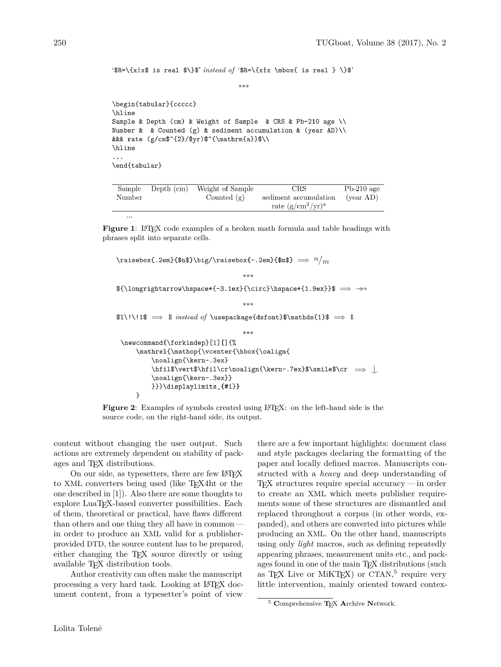```
'$R=\{x|x$ is real $\}$' instead of '$R=\{x|x \mbox{ is real } \}$'
                                  ***\begin{tabular}{ccccc}
\hline
Sample & Depth (cm) & Weight of Sample & CRS & Pb-210 age \\
Number & & Counted (g) & sediment accumulation & (year AD) \\
&&& rate (g/cm$^{2}/$yr)$^{\mathrm{a}}$\\
\hline
\ldots\end{tabular}
```

| Sample | Depth (cm) | Weight of Sample | CRS                   | $Pb-210$ age                       |
|--------|------------|------------------|-----------------------|------------------------------------|
| Number |            | Counted $(g)$    | sediment accumulation | $\frac{\text{year AD}}{\text{AD}}$ |
|        |            |                  | rate $(g/cm^2/yr)^a$  |                                    |
|        |            |                  |                       |                                    |

<span id="page-1-0"></span>**Figure 1**: LAT<sub>EX</sub> code examples of a broken math formula and table headings with phrases split into separate cells.

```
\raisebox{.2em}{$n$}\big/\raisebox{-.2em}{$m$} \implies n/m***${\longrightarrow\hspace*{-3.1ex}{\circ}\hspace*{1.9ex}}$ => -0>
                                   ***$1\!\!1$ \implies 1 instead of \usepackage{dsfont}$\mathds{1}$ \implies 1
                                   ***\newcommand{\forkindep}[1][]{%
     \mathrel{\mathop{\vcenter{\hbox{\oalign{
          \noalign{\kern-.3ex}
          \hfil$\vert$\hfil\cr\noalign{\kern-.7ex}$\smile$\cr \implies\noalign{\kern-.3ex}}
          }}}\displaylimits_{#1}}
     \mathcal{F}
```
<span id="page-1-1"></span>Figure 2: Examples of symbols created using LATEX: on the left-hand side is the source code, on the right-hand side, its output.

content without changing the user output. Such actions are extremely dependent on stability of packages and T<sub>E</sub>X distributions.

On our side, as typesetters, there are few LATEX to XML converters being used (like TEX4ht or the one described in [\[1\]](#page-5-2)). Also there are some thoughts to explore LuaTEX-based converter possibilities. Each of them, theoretical or practical, have flaws different than others and one thing they all have in common in order to produce an XML valid for a publisherprovided DTD, the source content has to be prepared, either changing the TEX source directly or using available T<sub>E</sub>X distribution tools.

Author creativity can often make the manuscript processing a very hard task. Looking at LAT<sub>EX</sub> document content, from a typesetter's point of view

there are a few important highlights: document class and style packages declaring the formatting of the paper and locally defined macros. Manuscripts constructed with a *heavy* and deep understanding of TEX structures require special accuracy— in order to create an XML which meets publisher requirements some of these structures are dismantled and replaced throughout a corpus (in other words, expanded), and others are converted into pictures while producing an XML. On the other hand, manuscripts using only *light* macros, such as defining repeatedly appearing phrases, measurement units etc., and packages found in one of the main TFX distributions (such as T<sub>E</sub>X Live or MiKT<sub>E</sub>X) or CTAN,<sup>[5](#page-1-2)</sup> require very little intervention, mainly oriented toward contex-

<span id="page-1-2"></span><sup>5</sup> **C**omprehensive **T**EX **A**rchive **N**etwork.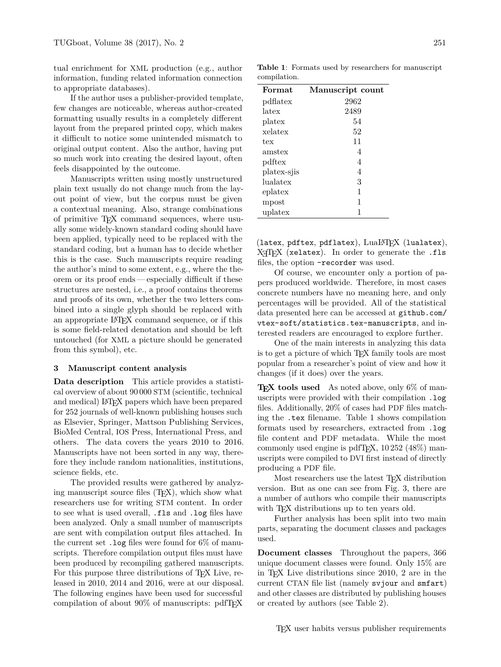tual enrichment for XML production (e.g., author information, funding related information connection to appropriate databases).

If the author uses a publisher-provided template, few changes are noticeable, whereas author-created formatting usually results in a completely different layout from the prepared printed copy, which makes it difficult to notice some unintended mismatch to original output content. Also the author, having put so much work into creating the desired layout, often feels disappointed by the outcome.

Manuscripts written using mostly unstructured plain text usually do not change much from the layout point of view, but the corpus must be given a contextual meaning. Also, strange combinations of primitive TEX command sequences, where usually some widely-known standard coding should have been applied, typically need to be replaced with the standard coding, but a human has to decide whether this is the case. Such manuscripts require reading the author's mind to some extent, e.g., where the theorem or its proof ends— especially difficult if these structures are nested, i.e., a proof contains theorems and proofs of its own, whether the two letters combined into a single glyph should be replaced with an appropriate LATEX command sequence, or if this is some field-related denotation and should be left untouched (for XML a picture should be generated from this symbol), etc.

#### <span id="page-2-0"></span>**3 Manuscript content analysis**

**Data description** This article provides a statistical overview of about 90 000 STM (scientific, technical and medical) LAT<sub>F</sub>X papers which have been prepared for 252 journals of well-known publishing houses such as Elsevier, Springer, Mattson Publishing Services, BioMed Central, IOS Press, International Press, and others. The data covers the years 2010 to 2016. Manuscripts have not been sorted in any way, therefore they include random nationalities, institutions, science fields, etc.

The provided results were gathered by analyzing manuscript source files (TEX), which show what researchers use for writing STM content. In order to see what is used overall, .fls and .log files have been analyzed. Only a small number of manuscripts are sent with compilation output files attached. In the current set . log files were found for  $6\%$  of manuscripts. Therefore compilation output files must have been produced by recompiling gathered manuscripts. For this purpose three distributions of T<sub>EX</sub> Live, released in 2010, 2014 and 2016, were at our disposal. The following engines have been used for successful compilation of about  $90\%$  of manuscripts: pdfT<sub>F</sub>X

<span id="page-2-1"></span>**Table 1**: Formats used by researchers for manuscript compilation.

| Format      | Manuscript count |
|-------------|------------------|
| pdflatex    | 2962             |
| latex       | 2489             |
| platex      | 54               |
| xelatex     | 52               |
| tex         | 11               |
| amstex      | 4                |
| pdftex      | 4                |
| platex-siis | 4                |
| lualatex    | 3                |
| eplatex     | 1                |
| mpost       | 1                |
| uplatex     | 1                |

(latex, pdftex, pdflatex), LuaLATFX (lualatex),  $X \nsubseteq X$  (xelatex). In order to generate the  $fls$ files, the option –recorder was used.

Of course, we encounter only a portion of papers produced worldwide. Therefore, in most cases concrete numbers have no meaning here, and only percentages will be provided. All of the statistical data presented here can be accessed at [github.com/](github.com/vtex-soft/statistics.tex-manuscripts) [vtex-soft/statistics.tex-manuscripts](github.com/vtex-soft/statistics.tex-manuscripts), and interested readers are encouraged to explore further.

One of the main interests in analyzing this data is to get a picture of which T<sub>EX</sub> family tools are most popular from a researcher's point of view and how it changes (if it does) over the years.

**TEX tools used** As noted above, only 6% of manuscripts were provided with their compilation .log files. Additionally, 20% of cases had PDF files matching the .tex filename. Table [1](#page-2-1) shows compilation formats used by researchers, extracted from .log file content and PDF metadata. While the most commonly used engine is pdfTEX, 10 252 (48%) manuscripts were compiled to DVI first instead of directly producing a PDF file.

Most researchers use the latest TFX distribution version. But as one can see from Fig. [3,](#page-3-0) there are a number of authors who compile their manuscripts with T<sub>E</sub>X distributions up to ten years old.

Further analysis has been split into two main parts, separating the document classes and packages used.

**Document classes** Throughout the papers, 366 unique document classes were found. Only 15% are in TEX Live distributions since 2010, 2 are in the current CTAN file list (namely svjour and smfart) and other classes are distributed by publishing houses or created by authors (see Table [2\)](#page-3-1).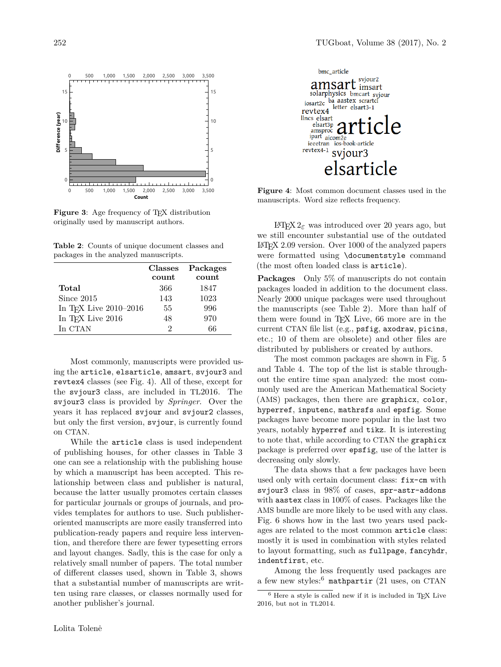

<span id="page-3-0"></span>**Figure 3**: Age frequency of TEX distribution originally used by manuscript authors.

<span id="page-3-1"></span>**Table 2**: Counts of unique document classes and packages in the analyzed manuscripts.

|                                      | <b>Classes</b> | Packages |
|--------------------------------------|----------------|----------|
|                                      | count          | count    |
| Total                                | 366            | 1847     |
| Since 2015                           | 143            | 1023     |
| In T <sub>F</sub> X Live $2010-2016$ | 55             | 996      |
| In T <sub>F</sub> X Live 2016        | 48             | 970      |
| In CTAN                              | 9              | 66       |

Most commonly, manuscripts were provided using the article, elsarticle, amsart, svjour3 and revtex4 classes (see Fig. [4\)](#page-3-2). All of these, except for the svjour3 class, are included in TL2016. The svjour3 class is provided by *Springer*. Over the years it has replaced svjour and svjour2 classes, but only the first version, svjour, is currently found on CTAN.

While the article class is used independent of publishing houses, for other classes in Table [3](#page-4-0) one can see a relationship with the publishing house by which a manuscript has been accepted. This relationship between class and publisher is natural, because the latter usually promotes certain classes for particular journals or groups of journals, and provides templates for authors to use. Such publisheroriented manuscripts are more easily transferred into publication-ready papers and require less intervention, and therefore there are fewer typesetting errors and layout changes. Sadly, this is the case for only a relatively small number of papers. The total number of different classes used, shown in Table [3,](#page-4-0) shows that a substantial number of manuscripts are written using rare classes, or classes normally used for another publisher's journal.



<span id="page-3-2"></span>**Figure 4**: Most common document classes used in the manuscripts. Word size reflects frequency.

LATEX 2*ε* was introduced over 20 years ago, but we still encounter substantial use of the outdated LATEX 2.09 version. Over 1000 of the analyzed papers were formatted using \documentstyle command (the most often loaded class is article).

**Packages** Only 5% of manuscripts do not contain packages loaded in addition to the document class. Nearly 2000 unique packages were used throughout the manuscripts (see Table [2\)](#page-3-1). More than half of them were found in TEX Live, 66 more are in the current CTAN file list (e.g., psfig, axodraw, picins, etc.; 10 of them are obsolete) and other files are distributed by publishers or created by authors.

The most common packages are shown in Fig. [5](#page-4-1) and Table [4.](#page-5-3) The top of the list is stable throughout the entire time span analyzed: the most commonly used are the American Mathematical Society (AMS) packages, then there are graphicx, color, hyperref, inputenc, mathrsfs and epsfig. Some packages have become more popular in the last two years, notably hyperref and tikz. It is interesting to note that, while according to CTAN the graphicx package is preferred over epsfig, use of the latter is decreasing only slowly.

The data shows that a few packages have been used only with certain document class: fix-cm with svjour3 class in 98% of cases, spr-astr-addons with aastex class in 100% of cases. Packages like the AMS bundle are more likely to be used with any class. Fig. [6](#page-4-2) shows how in the last two years used packages are related to the most common article class: mostly it is used in combination with styles related to layout formatting, such as fullpage, fancyhdr, indentfirst, etc.

Among the less frequently used packages are a few new styles: $6$  mathpartir (21 uses, on CTAN

<span id="page-3-3"></span> $6$  Here a style is called new if it is included in TEX Live 2016, but not in TL2014.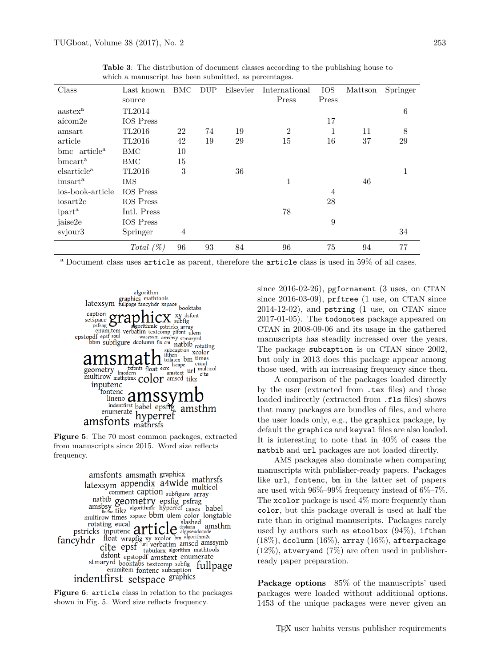| Class                     | Last known       | BMC | <b>DUP</b> | Elsevier | International | <b>IOS</b> | Mattson | Springer |
|---------------------------|------------------|-----|------------|----------|---------------|------------|---------|----------|
|                           | source           |     |            |          | Press         | Press      |         |          |
| aastex <sup>a</sup>       | TL2014           |     |            |          |               |            |         | 6        |
| aicom2e                   | IOS Press        |     |            |          |               | 17         |         |          |
| amsart                    | TL2016           | 22  | 74         | 19       | 2             |            | 11      | 8        |
| article                   | TL2016           | 42  | 19         | 29       | 15            | 16         | 37      | 29       |
| bmc article <sup>a</sup>  | BMC              | 10  |            |          |               |            |         |          |
| $b$ mcart <sup>a</sup>    | <b>BMC</b>       | 15  |            |          |               |            |         |          |
| elsarticle <sup>a</sup>   | TL2016           | 3   |            | 36       |               |            |         | 1        |
| imsart <sup>a</sup>       | <b>IMS</b>       |     |            |          | 1             |            | 46      |          |
| ios-book-article          | <b>IOS</b> Press |     |            |          |               | 4          |         |          |
| iosart2c                  | <b>IOS</b> Press |     |            |          |               | 28         |         |          |
| <i>ipart</i> <sup>a</sup> | Intl. Press      |     |            |          | 78            |            |         |          |
| jaise2e                   | <b>IOS</b> Press |     |            |          |               | 9          |         |          |
| svjour3                   | Springer         | 4   |            |          |               |            |         | 34       |
|                           | Total $(\%)$     | 96  | 93         | 84       | 96            | 75         | 94      | 77       |

<span id="page-4-0"></span>**Table 3**: The distribution of document classes according to the publishing house to which a manuscript has been submitted, as percentages.

<sup>a</sup> Document class uses article as parent, therefore the article class is used in 59% of all cases.



**Figure 5**: The 70 most common packages, extracted from manuscripts since 2015. Word size reflects frequency.

<span id="page-4-1"></span>amsfonts amsmath graphicx latexsym appendix a4wide mathrsfs ernation subfigure array comment caption subfigure array<br>amsby **geometry** epsfig psfrag<br>amsposition intervals algorithmic hyperref cases babel<br>hultirow times xspace bbm ulem color longtab multirow times xspace bbm ulem color longtable multirow times xspace born ulem color longtable<br>
rotating eucal<br>
pstricks inputence  $\text{article}$ <br>
exceller algorithms amsthm<br>
cyhdr float wrapfig xy xcolor bm algorithms<br>
cite epsf who algorithm amscd amssymb<br>
dsfont epstopdf amsthm fancyhdr dsfont epstopdf amstext enumerate<br>stmaryrd booktabs textcomp subfig<br>enumitem fontenc subcaption<br>capabics indentfirst setspace graphics

<span id="page-4-2"></span>**Figure 6**: article class in relation to the packages shown in Fig. [5.](#page-4-1) Word size reflects frequency.

since 2016-02-26), pgfornament (3 uses, on CTAN since 2016-03-09), prftree (1 use, on CTAN since  $2014-12-02$ , and pstring  $(1 \text{ use, on CTAN since})$ 2017-01-05). The todonotes package appeared on CTAN in 2008-09-06 and its usage in the gathered manuscripts has steadily increased over the years. The package subcaption is on CTAN since 2002, but only in 2013 does this package appear among those used, with an increasing frequency since then.

A comparison of the packages loaded directly by the user (extracted from .tex files) and those loaded indirectly (extracted from  $\cdot$  fls files) shows that many packages are bundles of files, and where the user loads only, e.g., the graphicx package, by default the graphics and keyval files are also loaded. It is interesting to note that in 40% of cases the natbib and url packages are not loaded directly.

AMS packages also dominate when comparing manuscripts with publisher-ready papers. Packages like url, fontenc, bm in the latter set of papers are used with 96%–99% frequency instead of 6%–7%. The xcolor package is used 4% more frequently than color, but this package overall is used at half the rate than in original manuscripts. Packages rarely used by authors such as etoolbox  $(94\%)$ , if then  $(18\%)$ , dcolumn  $(16\%)$ , array  $(16\%)$ , afterpackage  $(12\%)$ , atveryend  $(7\%)$  are often used in publisherready paper preparation.

**Package options** 85% of the manuscripts' used packages were loaded without additional options. 1453 of the unique packages were never given an